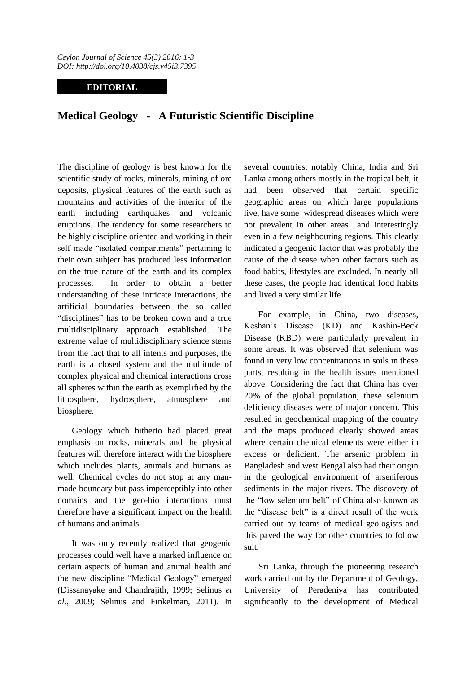*Ceylon Journal of Science 45(3) 2016: 1-3 DOI: http://doi.org/10.4038/cjs.v45i3.7395*

## **EDITORIAL**

## **Medical Geology - A Futuristic Scientific Discipline**

The discipline of geology is best known for the scientific study of rocks, minerals, mining of ore deposits, physical features of the earth such as mountains and activities of the interior of the earth including earthquakes and volcanic eruptions. The tendency for some researchers to be highly discipline oriented and working in their self made "isolated compartments" pertaining to their own subject has produced less information on the true nature of the earth and its complex processes. In order to obtain a better understanding of these intricate interactions, the artificial boundaries between the so called "disciplines" has to be broken down and a true multidisciplinary approach established. The extreme value of multidisciplinary science stems from the fact that to all intents and purposes, the earth is a closed system and the multitude of complex physical and chemical interactions cross all spheres within the earth as exemplified by the lithosphere, hydrosphere, atmosphere and biosphere.

Geology which hitherto had placed great emphasis on rocks, minerals and the physical features will therefore interact with the biosphere which includes plants, animals and humans as well. Chemical cycles do not stop at any manmade boundary but pass imperceptibly into other domains and the geo-bio interactions must therefore have a significant impact on the health of humans and animals.

It was only recently realized that geogenic processes could well have a marked influence on certain aspects of human and animal health and the new discipline "Medical Geology" emerged (Dissanayake and Chandrajith, 1999; Selinus *et al*., 2009; Selinus and Finkelman, 2011). In several countries, notably China, India and Sri Lanka among others mostly in the tropical belt, it had been observed that certain specific geographic areas on which large populations live, have some widespread diseases which were not prevalent in other areas and interestingly even in a few neighbouring regions. This clearly indicated a geogenic factor that was probably the cause of the disease when other factors such as food habits, lifestyles are excluded. In nearly all these cases, the people had identical food habits and lived a very similar life.

For example, in China, two diseases, Keshan's Disease (KD) and Kashin-Beck Disease (KBD) were particularly prevalent in some areas. It was observed that selenium was found in very low concentrations in soils in these parts, resulting in the health issues mentioned above. Considering the fact that China has over 20% of the global population, these selenium deficiency diseases were of major concern. This resulted in geochemical mapping of the country and the maps produced clearly showed areas where certain chemical elements were either in excess or deficient. The arsenic problem in Bangladesh and west Bengal also had their origin in the geological environment of arseniferous sediments in the major rivers. The discovery of the "low selenium belt" of China also known as the "disease belt" is a direct result of the work carried out by teams of medical geologists and this paved the way for other countries to follow suit.

Sri Lanka, through the pioneering research work carried out by the Department of Geology, University of Peradeniya has contributed significantly to the development of Medical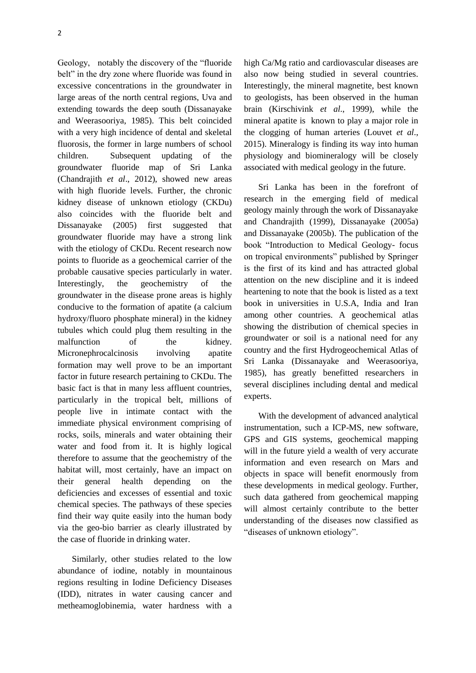Geology, notably the discovery of the "fluoride belt" in the dry zone where fluoride was found in excessive concentrations in the groundwater in large areas of the north central regions, Uva and extending towards the deep south (Dissanayake and Weerasooriya, 1985). This belt coincided with a very high incidence of dental and skeletal fluorosis, the former in large numbers of school children. Subsequent updating of the groundwater fluoride map of Sri Lanka (Chandrajith *et al*., 2012), showed new areas with high fluoride levels. Further, the chronic kidney disease of unknown etiology (CKDu) also coincides with the fluoride belt and Dissanayake (2005) first suggested that groundwater fluoride may have a strong link with the etiology of CKDu. Recent research now points to fluoride as a geochemical carrier of the probable causative species particularly in water. Interestingly, the geochemistry of the groundwater in the disease prone areas is highly conducive to the formation of apatite (a calcium hydroxy/fluoro phosphate mineral) in the kidney tubules which could plug them resulting in the malfunction of the kidney. Micronephrocalcinosis involving apatite formation may well prove to be an important factor in future research pertaining to CKDu. The basic fact is that in many less affluent countries, particularly in the tropical belt, millions of people live in intimate contact with the immediate physical environment comprising of rocks, soils, minerals and water obtaining their water and food from it. It is highly logical therefore to assume that the geochemistry of the habitat will, most certainly, have an impact on their general health depending on the deficiencies and excesses of essential and toxic chemical species. The pathways of these species find their way quite easily into the human body via the geo-bio barrier as clearly illustrated by the case of fluoride in drinking water.

Similarly, other studies related to the low abundance of iodine, notably in mountainous regions resulting in Iodine Deficiency Diseases (IDD), nitrates in water causing cancer and metheamoglobinemia, water hardness with a

high Ca/Mg ratio and cardiovascular diseases are also now being studied in several countries. Interestingly, the mineral magnetite, best known to geologists, has been observed in the human brain (Kirschivink *et al*., 1999), while the mineral apatite is known to play a major role in the clogging of human arteries (Louvet *et al*., 2015). Mineralogy is finding its way into human physiology and biomineralogy will be closely associated with medical geology in the future.

Sri Lanka has been in the forefront of research in the emerging field of medical geology mainly through the work of Dissanayake and Chandrajith (1999), Dissanayake (2005a) and Dissanayake (2005b). The publication of the book "Introduction to Medical Geology- focus on tropical environments" published by Springer is the first of its kind and has attracted global attention on the new discipline and it is indeed heartening to note that the book is listed as a text book in universities in U.S.A, India and Iran among other countries. A geochemical atlas showing the distribution of chemical species in groundwater or soil is a national need for any country and the first Hydrogeochemical Atlas of Sri Lanka (Dissanayake and Weerasooriya, 1985), has greatly benefitted researchers in several disciplines including dental and medical experts.

With the development of advanced analytical instrumentation, such a ICP-MS, new software, GPS and GIS systems, geochemical mapping will in the future yield a wealth of very accurate information and even research on Mars and objects in space will benefit enormously from these developments in medical geology. Further, such data gathered from geochemical mapping will almost certainly contribute to the better understanding of the diseases now classified as "diseases of unknown etiology".